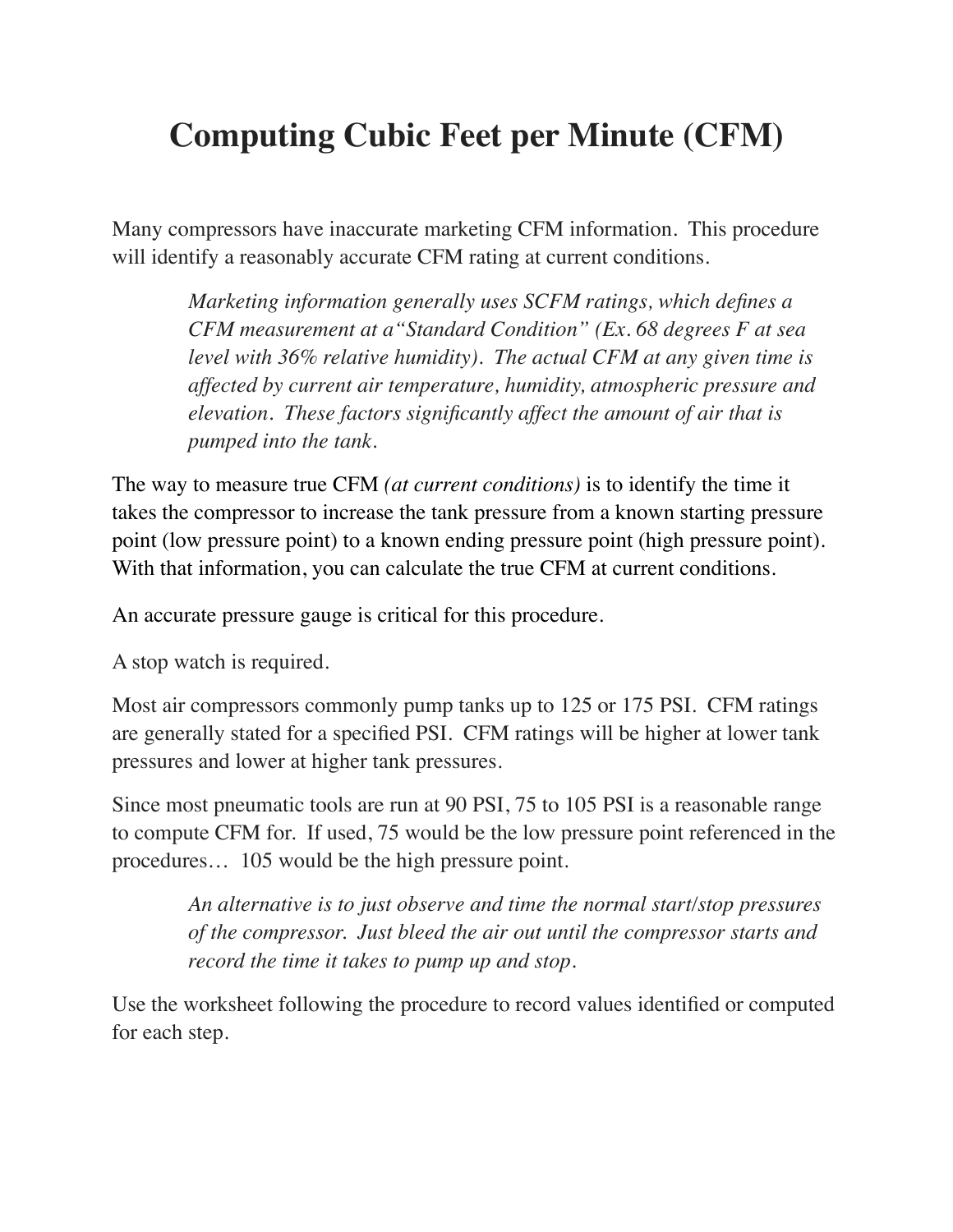# **Computing Cubic Feet per Minute (CFM)**

Many compressors have inaccurate marketing CFM information. This procedure will identify a reasonably accurate CFM rating at current conditions.

> *Marketing information generally uses SCFM ratings, which defines a CFM measurement at a"Standard Condition" (Ex. 68 degrees F at sea level with 36% relative humidity). The actual CFM at any given time is affected by current air temperature, humidity, atmospheric pressure and elevation. These factors significantly affect the amount of air that is pumped into the tank.*

The way to measure true CFM *(at current conditions)* is to identify the time it takes the compressor to increase the tank pressure from a known starting pressure point (low pressure point) to a known ending pressure point (high pressure point). With that information, you can calculate the true CFM at current conditions.

An accurate pressure gauge is critical for this procedure.

A stop watch is required.

Most air compressors commonly pump tanks up to 125 or 175 PSI. CFM ratings are generally stated for a specified PSI. CFM ratings will be higher at lower tank pressures and lower at higher tank pressures.

Since most pneumatic tools are run at 90 PSI, 75 to 105 PSI is a reasonable range to compute CFM for. If used, 75 would be the low pressure point referenced in the procedures… 105 would be the high pressure point.

> *An alternative is to just observe and time the normal start/stop pressures of the compressor. Just bleed the air out until the compressor starts and record the time it takes to pump up and stop.*

Use the worksheet following the procedure to record values identified or computed for each step.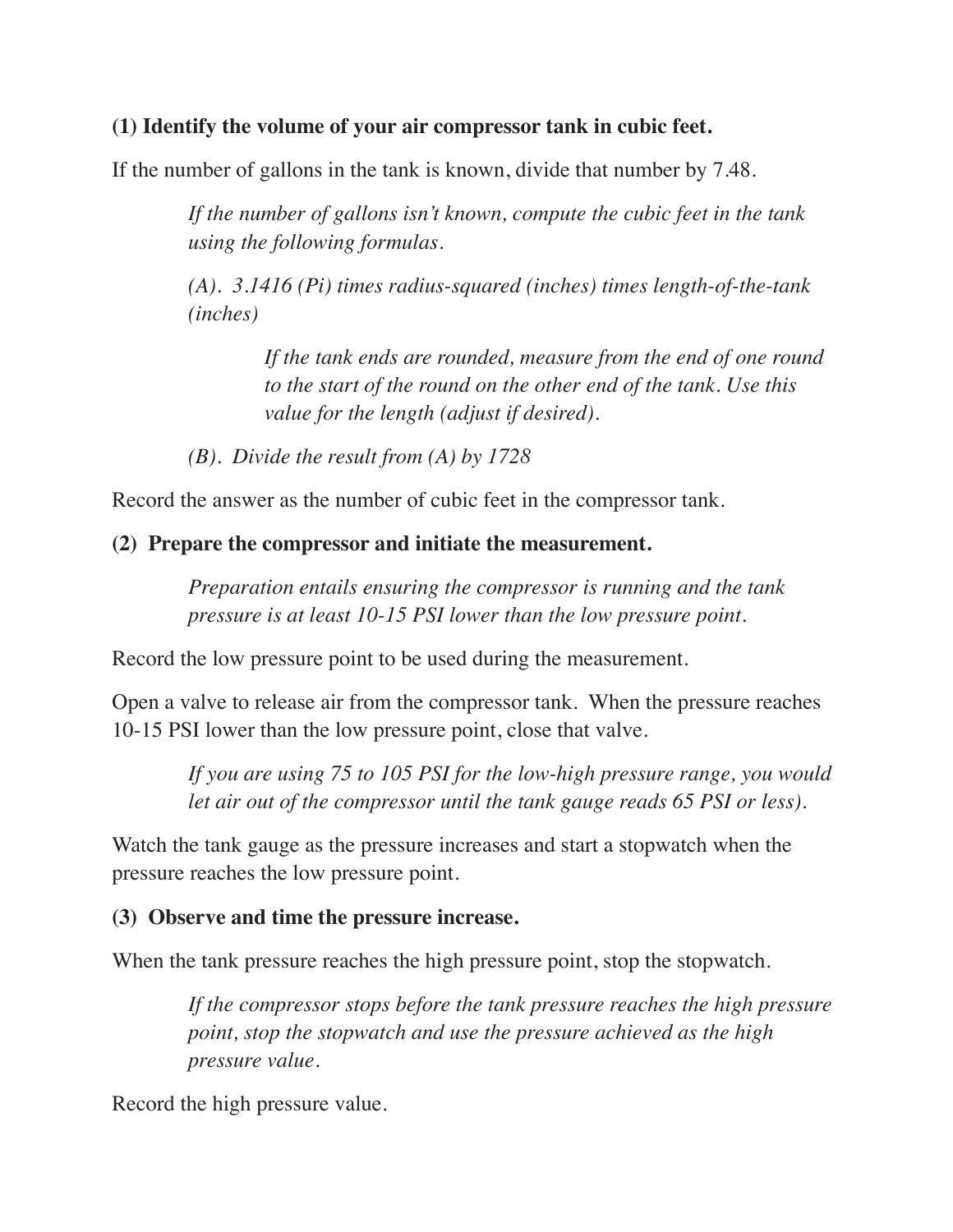#### **(1) Identify the volume of your air compressor tank in cubic feet.**

If the number of gallons in the tank is known, divide that number by 7.48.

*If the number of gallons isn't known, compute the cubic feet in the tank using the following formulas.*

*(A). 3.1416 (Pi) times radius-squared (inches) times length-of-the-tank (inches)* 

> *If the tank ends are rounded, measure from the end of one round to the start of the round on the other end of the tank. Use this value for the length (adjust if desired).*

*(B). Divide the result from (A) by 1728*

Record the answer as the number of cubic feet in the compressor tank.

#### **(2) Prepare the compressor and initiate the measurement.**

*Preparation entails ensuring the compressor is running and the tank pressure is at least 10-15 PSI lower than the low pressure point.*

Record the low pressure point to be used during the measurement.

Open a valve to release air from the compressor tank. When the pressure reaches 10-15 PSI lower than the low pressure point, close that valve.

> *If you are using 75 to 105 PSI for the low-high pressure range, you would let air out of the compressor until the tank gauge reads 65 PSI or less).*

Watch the tank gauge as the pressure increases and start a stopwatch when the pressure reaches the low pressure point.

#### **(3) Observe and time the pressure increase.**

When the tank pressure reaches the high pressure point, stop the stopwatch.

*If the compressor stops before the tank pressure reaches the high pressure point, stop the stopwatch and use the pressure achieved as the high pressure value.*

Record the high pressure value.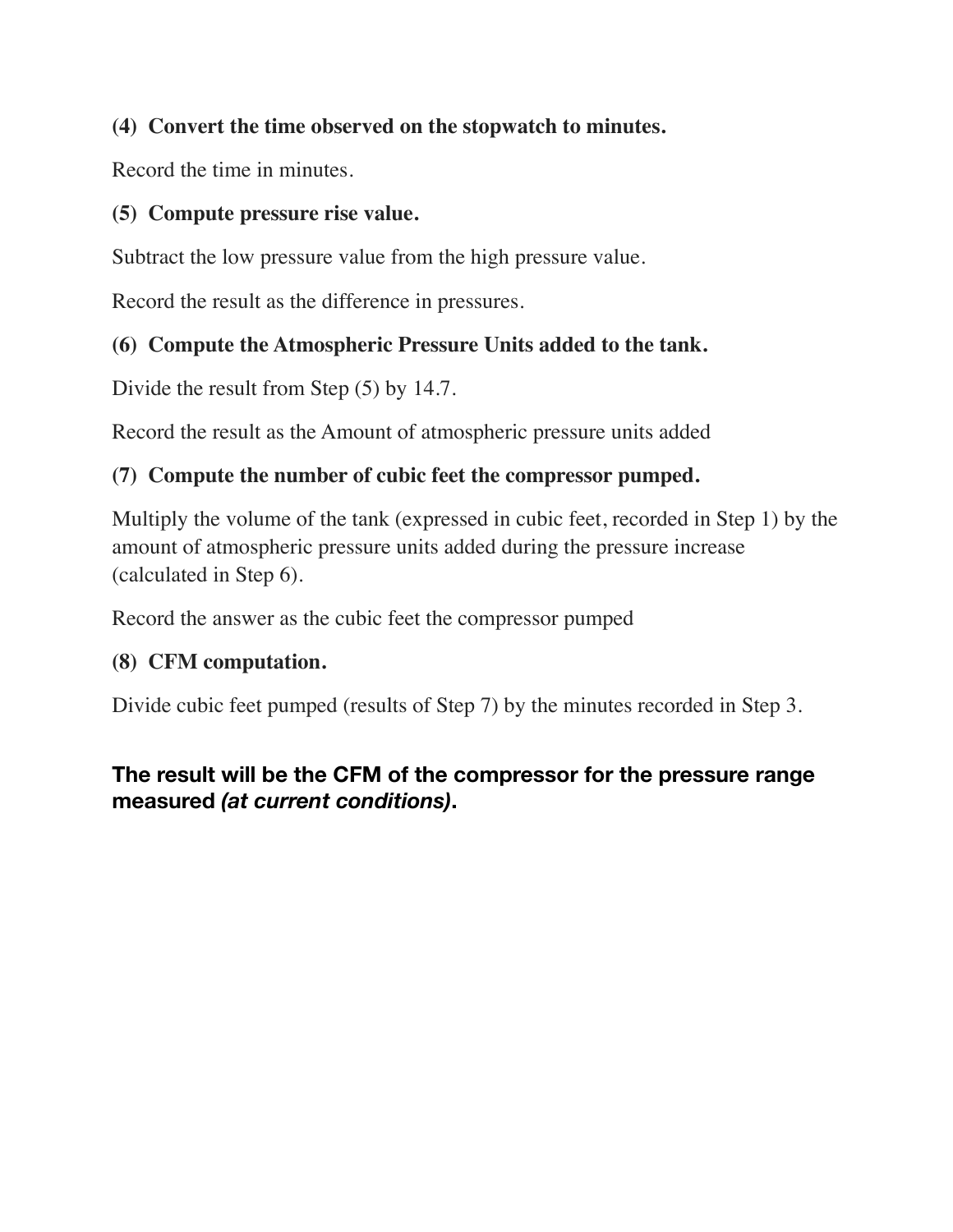## **(4) Convert the time observed on the stopwatch to minutes.**

Record the time in minutes.

#### **(5) Compute pressure rise value.**

Subtract the low pressure value from the high pressure value.

Record the result as the difference in pressures.

## **(6) Compute the Atmospheric Pressure Units added to the tank.**

Divide the result from Step (5) by 14.7.

Record the result as the Amount of atmospheric pressure units added

# **(7) Compute the number of cubic feet the compressor pumped.**

Multiply the volume of the tank (expressed in cubic feet, recorded in Step 1) by the amount of atmospheric pressure units added during the pressure increase (calculated in Step 6).

Record the answer as the cubic feet the compressor pumped

#### **(8) CFM computation.**

Divide cubic feet pumped (results of Step 7) by the minutes recorded in Step 3.

# **The result will be the CFM of the compressor for the pressure range measured** *(at current conditions)***.**